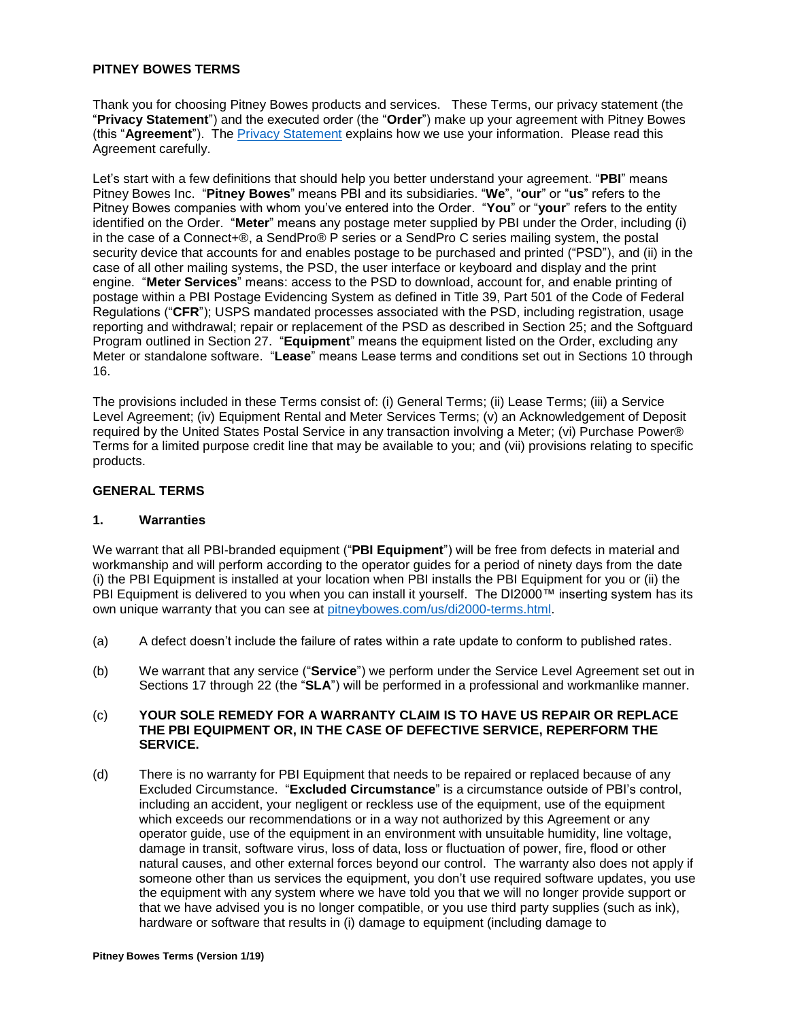### **PITNEY BOWES TERMS**

Thank you for choosing Pitney Bowes products and services. These Terms, our privacy statement (the "**Privacy Statement**") and the executed order (the "**Order**") make up your agreement with Pitney Bowes (this "**Agreement**"). The [Privacy Statement](http://www.pitneybowes.com/us/legal/privacy-statement.html) explains how we use your information. Please read this Agreement carefully.

Let's start with a few definitions that should help you better understand your agreement. "**PBI**" means Pitney Bowes Inc. "**Pitney Bowes**" means PBI and its subsidiaries. "**We**", "**our**" or "**us**" refers to the Pitney Bowes companies with whom you've entered into the Order. "**You**" or "**your**" refers to the entity identified on the Order. "**Meter**" means any postage meter supplied by PBI under the Order, including (i) in the case of a Connect+®, a SendPro® P series or a SendPro C series mailing system, the postal security device that accounts for and enables postage to be purchased and printed ("PSD"), and (ii) in the case of all other mailing systems, the PSD, the user interface or keyboard and display and the print engine. "**Meter Services**" means: access to the PSD to download, account for, and enable printing of postage within a PBI Postage Evidencing System as defined in Title 39, Part 501 of the Code of Federal Regulations ("**CFR**"); USPS mandated processes associated with the PSD, including registration, usage reporting and withdrawal; repair or replacement of the PSD as described in Section 25; and the Softguard Program outlined in Section 27. "**Equipment**" means the equipment listed on the Order, excluding any Meter or standalone software. "**Lease**" means Lease terms and conditions set out in Sections 10 through 16.

The provisions included in these Terms consist of: (i) General Terms; (ii) Lease Terms; (iii) a Service Level Agreement; (iv) Equipment Rental and Meter Services Terms; (v) an Acknowledgement of Deposit required by the United States Postal Service in any transaction involving a Meter; (vi) Purchase Power® Terms for a limited purpose credit line that may be available to you; and (vii) provisions relating to specific products.

#### **GENERAL TERMS**

#### **1. Warranties**

We warrant that all PBI-branded equipment ("**PBI Equipment**") will be free from defects in material and workmanship and will perform according to the operator guides for a period of ninety days from the date (i) the PBI Equipment is installed at your location when PBI installs the PBI Equipment for you or (ii) the PBI Equipment is delivered to you when you can install it yourself. The DI2000™ inserting system has its own unique warranty that you can see at [pitneybowes.com/us/di2000-terms.html.](http://www.pitneybowes.com/us/di2000-terms.html)

- (a) A defect doesn't include the failure of rates within a rate update to conform to published rates.
- (b) We warrant that any service ("**Service**") we perform under the Service Level Agreement set out in Sections 17 through 22 (the "**SLA**") will be performed in a professional and workmanlike manner.

### (c) **YOUR SOLE REMEDY FOR A WARRANTY CLAIM IS TO HAVE US REPAIR OR REPLACE THE PBI EQUIPMENT OR, IN THE CASE OF DEFECTIVE SERVICE, REPERFORM THE SERVICE.**

(d) There is no warranty for PBI Equipment that needs to be repaired or replaced because of any Excluded Circumstance. "**Excluded Circumstance**" is a circumstance outside of PBI's control, including an accident, your negligent or reckless use of the equipment, use of the equipment which exceeds our recommendations or in a way not authorized by this Agreement or any operator guide, use of the equipment in an environment with unsuitable humidity, line voltage, damage in transit, software virus, loss of data, loss or fluctuation of power, fire, flood or other natural causes, and other external forces beyond our control. The warranty also does not apply if someone other than us services the equipment, you don't use required software updates, you use the equipment with any system where we have told you that we will no longer provide support or that we have advised you is no longer compatible, or you use third party supplies (such as ink), hardware or software that results in (i) damage to equipment (including damage to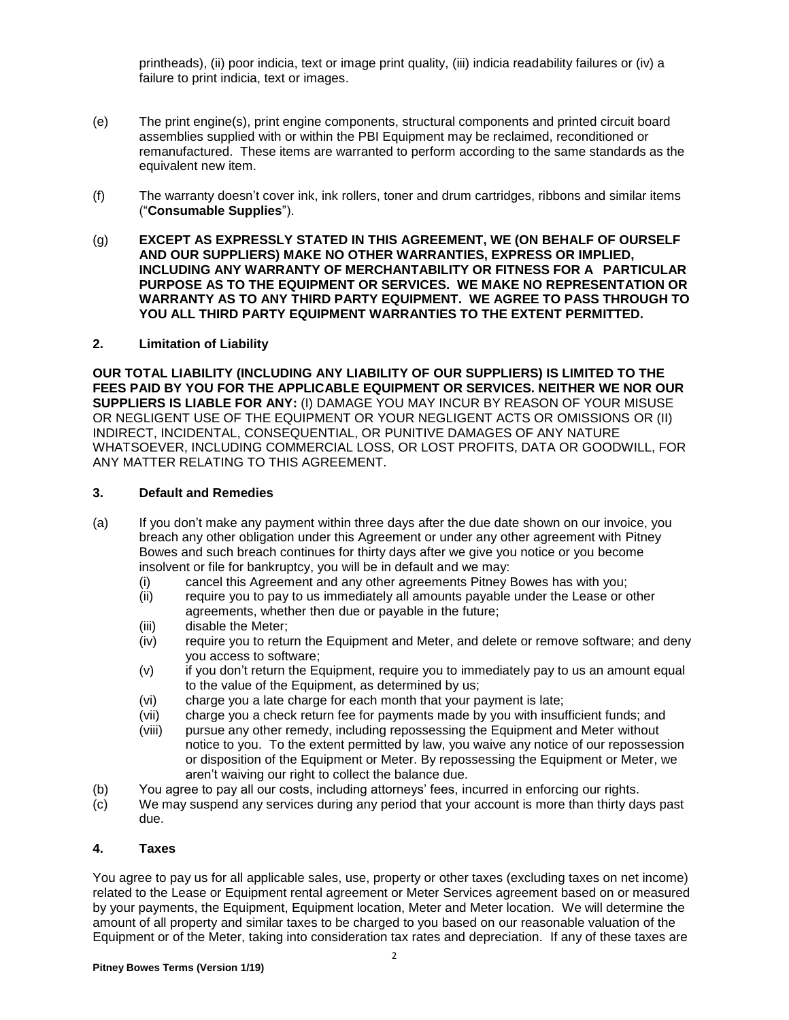printheads), (ii) poor indicia, text or image print quality, (iii) indicia readability failures or (iv) a failure to print indicia, text or images.

- (e) The print engine(s), print engine components, structural components and printed circuit board assemblies supplied with or within the PBI Equipment may be reclaimed, reconditioned or remanufactured. These items are warranted to perform according to the same standards as the equivalent new item.
- (f) The warranty doesn't cover ink, ink rollers, toner and drum cartridges, ribbons and similar items ("**Consumable Supplies**").
- (g) **EXCEPT AS EXPRESSLY STATED IN THIS AGREEMENT, WE (ON BEHALF OF OURSELF AND OUR SUPPLIERS) MAKE NO OTHER WARRANTIES, EXPRESS OR IMPLIED, INCLUDING ANY WARRANTY OF MERCHANTABILITY OR FITNESS FOR A PARTICULAR PURPOSE AS TO THE EQUIPMENT OR SERVICES. WE MAKE NO REPRESENTATION OR WARRANTY AS TO ANY THIRD PARTY EQUIPMENT. WE AGREE TO PASS THROUGH TO YOU ALL THIRD PARTY EQUIPMENT WARRANTIES TO THE EXTENT PERMITTED.**

#### **2. Limitation of Liability**

**OUR TOTAL LIABILITY (INCLUDING ANY LIABILITY OF OUR SUPPLIERS) IS LIMITED TO THE FEES PAID BY YOU FOR THE APPLICABLE EQUIPMENT OR SERVICES. NEITHER WE NOR OUR SUPPLIERS IS LIABLE FOR ANY:** (I) DAMAGE YOU MAY INCUR BY REASON OF YOUR MISUSE OR NEGLIGENT USE OF THE EQUIPMENT OR YOUR NEGLIGENT ACTS OR OMISSIONS OR (II) INDIRECT, INCIDENTAL, CONSEQUENTIAL, OR PUNITIVE DAMAGES OF ANY NATURE WHATSOEVER, INCLUDING COMMERCIAL LOSS, OR LOST PROFITS, DATA OR GOODWILL, FOR ANY MATTER RELATING TO THIS AGREEMENT.

#### **3. Default and Remedies**

- (a) If you don't make any payment within three days after the due date shown on our invoice, you breach any other obligation under this Agreement or under any other agreement with Pitney Bowes and such breach continues for thirty days after we give you notice or you become insolvent or file for bankruptcy, you will be in default and we may:
	- (i) cancel this Agreement and any other agreements Pitney Bowes has with you;
	- (ii) require you to pay to us immediately all amounts payable under the Lease or other agreements, whether then due or payable in the future;
	- (iii) disable the Meter;
	- (iv) require you to return the Equipment and Meter, and delete or remove software; and deny you access to software;
	- (v) if you don't return the Equipment, require you to immediately pay to us an amount equal to the value of the Equipment, as determined by us;
	- (vi) charge you a late charge for each month that your payment is late;
	- (vii) charge you a check return fee for payments made by you with insufficient funds; and
	- (viii) pursue any other remedy, including repossessing the Equipment and Meter without notice to you. To the extent permitted by law, you waive any notice of our repossession or disposition of the Equipment or Meter. By repossessing the Equipment or Meter, we aren't waiving our right to collect the balance due.
- (b) You agree to pay all our costs, including attorneys' fees, incurred in enforcing our rights.
- (c) We may suspend any services during any period that your account is more than thirty days past due.

#### **4. Taxes**

You agree to pay us for all applicable sales, use, property or other taxes (excluding taxes on net income) related to the Lease or Equipment rental agreement or Meter Services agreement based on or measured by your payments, the Equipment, Equipment location, Meter and Meter location. We will determine the amount of all property and similar taxes to be charged to you based on our reasonable valuation of the Equipment or of the Meter, taking into consideration tax rates and depreciation. If any of these taxes are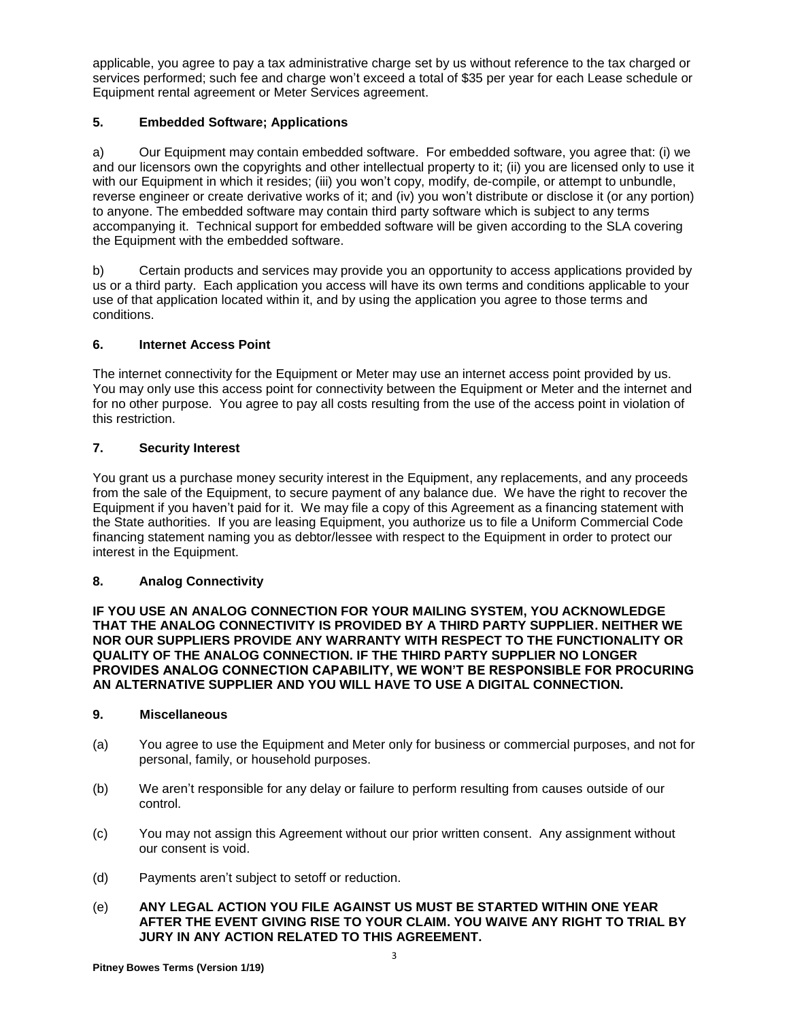applicable, you agree to pay a tax administrative charge set by us without reference to the tax charged or services performed; such fee and charge won't exceed a total of \$35 per year for each Lease schedule or Equipment rental agreement or Meter Services agreement.

# **5. Embedded Software; Applications**

a) Our Equipment may contain embedded software. For embedded software, you agree that: (i) we and our licensors own the copyrights and other intellectual property to it; (ii) you are licensed only to use it with our Equipment in which it resides; (iii) you won't copy, modify, de-compile, or attempt to unbundle, reverse engineer or create derivative works of it; and (iv) you won't distribute or disclose it (or any portion) to anyone. The embedded software may contain third party software which is subject to any terms accompanying it. Technical support for embedded software will be given according to the SLA covering the Equipment with the embedded software.

b) Certain products and services may provide you an opportunity to access applications provided by us or a third party. Each application you access will have its own terms and conditions applicable to your use of that application located within it, and by using the application you agree to those terms and conditions.

## **6. Internet Access Point**

The internet connectivity for the Equipment or Meter may use an internet access point provided by us. You may only use this access point for connectivity between the Equipment or Meter and the internet and for no other purpose. You agree to pay all costs resulting from the use of the access point in violation of this restriction.

## **7. Security Interest**

You grant us a purchase money security interest in the Equipment, any replacements, and any proceeds from the sale of the Equipment, to secure payment of any balance due. We have the right to recover the Equipment if you haven't paid for it. We may file a copy of this Agreement as a financing statement with the State authorities. If you are leasing Equipment, you authorize us to file a Uniform Commercial Code financing statement naming you as debtor/lessee with respect to the Equipment in order to protect our interest in the Equipment.

## **8. Analog Connectivity**

**IF YOU USE AN ANALOG CONNECTION FOR YOUR MAILING SYSTEM, YOU ACKNOWLEDGE THAT THE ANALOG CONNECTIVITY IS PROVIDED BY A THIRD PARTY SUPPLIER. NEITHER WE NOR OUR SUPPLIERS PROVIDE ANY WARRANTY WITH RESPECT TO THE FUNCTIONALITY OR QUALITY OF THE ANALOG CONNECTION. IF THE THIRD PARTY SUPPLIER NO LONGER PROVIDES ANALOG CONNECTION CAPABILITY, WE WON'T BE RESPONSIBLE FOR PROCURING AN ALTERNATIVE SUPPLIER AND YOU WILL HAVE TO USE A DIGITAL CONNECTION.**

# **9. Miscellaneous**

- (a) You agree to use the Equipment and Meter only for business or commercial purposes, and not for personal, family, or household purposes.
- (b) We aren't responsible for any delay or failure to perform resulting from causes outside of our control.
- (c) You may not assign this Agreement without our prior written consent. Any assignment without our consent is void.
- (d) Payments aren't subject to setoff or reduction.
- (e) **ANY LEGAL ACTION YOU FILE AGAINST US MUST BE STARTED WITHIN ONE YEAR AFTER THE EVENT GIVING RISE TO YOUR CLAIM. YOU WAIVE ANY RIGHT TO TRIAL BY JURY IN ANY ACTION RELATED TO THIS AGREEMENT.**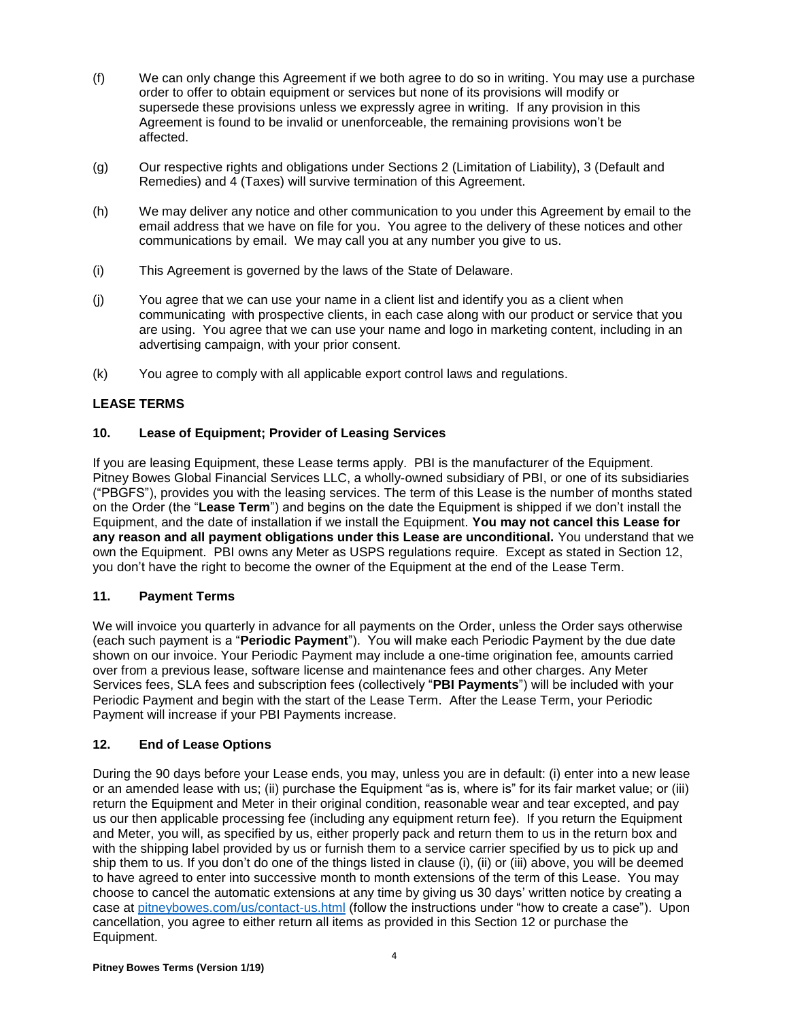- (f) We can only change this Agreement if we both agree to do so in writing. You may use a purchase order to offer to obtain equipment or services but none of its provisions will modify or supersede these provisions unless we expressly agree in writing. If any provision in this Agreement is found to be invalid or unenforceable, the remaining provisions won't be affected.
- (g) Our respective rights and obligations under Sections 2 (Limitation of Liability), 3 (Default and Remedies) and 4 (Taxes) will survive termination of this Agreement.
- (h) We may deliver any notice and other communication to you under this Agreement by email to the email address that we have on file for you. You agree to the delivery of these notices and other communications by email. We may call you at any number you give to us.
- (i) This Agreement is governed by the laws of the State of Delaware.
- (j) You agree that we can use your name in a client list and identify you as a client when communicating with prospective clients, in each case along with our product or service that you are using. You agree that we can use your name and logo in marketing content, including in an advertising campaign, with your prior consent.
- (k) You agree to comply with all applicable export control laws and regulations.

# **LEASE TERMS**

## **10. Lease of Equipment; Provider of Leasing Services**

If you are leasing Equipment, these Lease terms apply. PBI is the manufacturer of the Equipment. Pitney Bowes Global Financial Services LLC, a wholly-owned subsidiary of PBI, or one of its subsidiaries ("PBGFS"), provides you with the leasing services. The term of this Lease is the number of months stated on the Order (the "**Lease Term**") and begins on the date the Equipment is shipped if we don't install the Equipment, and the date of installation if we install the Equipment. **You may not cancel this Lease for any reason and all payment obligations under this Lease are unconditional.** You understand that we own the Equipment. PBI owns any Meter as USPS regulations require. Except as stated in Section 12, you don't have the right to become the owner of the Equipment at the end of the Lease Term.

## **11. Payment Terms**

We will invoice you quarterly in advance for all payments on the Order, unless the Order says otherwise (each such payment is a "**Periodic Payment**"). You will make each Periodic Payment by the due date shown on our invoice. Your Periodic Payment may include a one-time origination fee, amounts carried over from a previous lease, software license and maintenance fees and other charges. Any Meter Services fees, SLA fees and subscription fees (collectively "**PBI Payments**") will be included with your Periodic Payment and begin with the start of the Lease Term. After the Lease Term, your Periodic Payment will increase if your PBI Payments increase.

## **12. End of Lease Options**

During the 90 days before your Lease ends, you may, unless you are in default: (i) enter into a new lease or an amended lease with us; (ii) purchase the Equipment "as is, where is" for its fair market value; or (iii) return the Equipment and Meter in their original condition, reasonable wear and tear excepted, and pay us our then applicable processing fee (including any equipment return fee). If you return the Equipment and Meter, you will, as specified by us, either properly pack and return them to us in the return box and with the shipping label provided by us or furnish them to a service carrier specified by us to pick up and ship them to us. If you don't do one of the things listed in clause (i), (ii) or (iii) above, you will be deemed to have agreed to enter into successive month to month extensions of the term of this Lease. You may choose to cancel the automatic extensions at any time by giving us 30 days' written notice by creating a case at [pitneybowes.com/us/contact-us.html](http://www.pitneybowes.com/us/contact-us.html) (follow the instructions under "how to create a case"). Upon cancellation, you agree to either return all items as provided in this Section 12 or purchase the Equipment.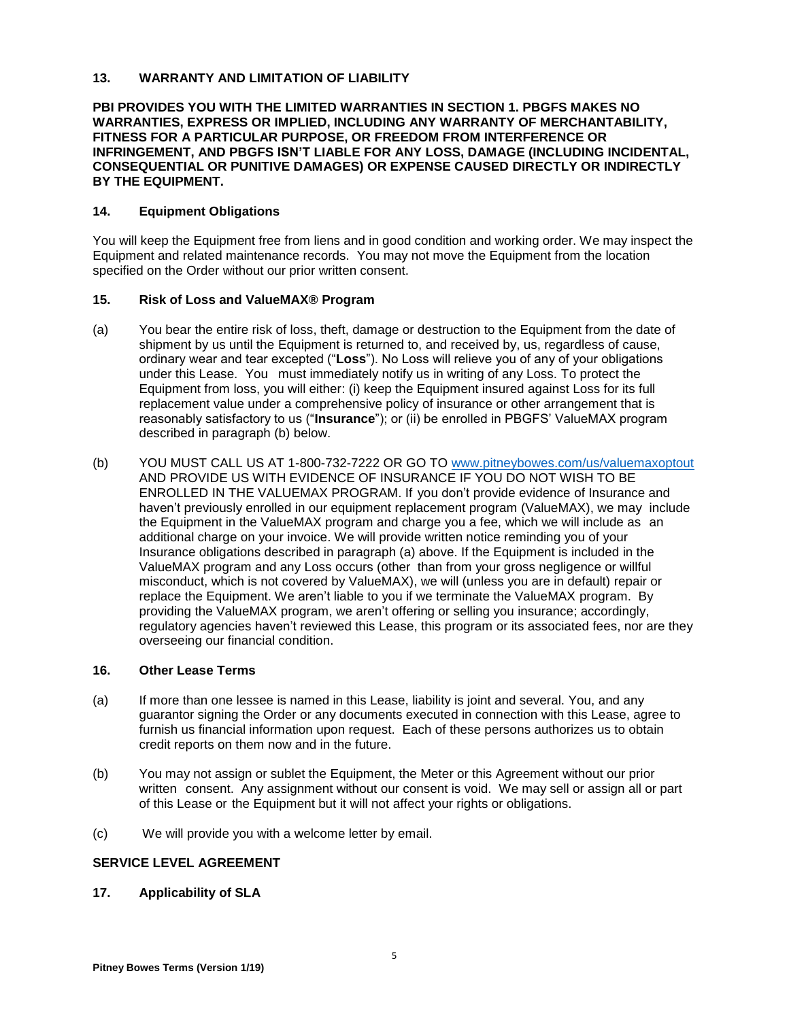### **13. WARRANTY AND LIMITATION OF LIABILITY**

### **PBI PROVIDES YOU WITH THE LIMITED WARRANTIES IN SECTION 1. PBGFS MAKES NO WARRANTIES, EXPRESS OR IMPLIED, INCLUDING ANY WARRANTY OF MERCHANTABILITY, FITNESS FOR A PARTICULAR PURPOSE, OR FREEDOM FROM INTERFERENCE OR INFRINGEMENT, AND PBGFS ISN'T LIABLE FOR ANY LOSS, DAMAGE (INCLUDING INCIDENTAL, CONSEQUENTIAL OR PUNITIVE DAMAGES) OR EXPENSE CAUSED DIRECTLY OR INDIRECTLY BY THE EQUIPMENT.**

### **14. Equipment Obligations**

You will keep the Equipment free from liens and in good condition and working order. We may inspect the Equipment and related maintenance records. You may not move the Equipment from the location specified on the Order without our prior written consent.

#### **15. Risk of Loss and ValueMAX® Program**

- (a) You bear the entire risk of loss, theft, damage or destruction to the Equipment from the date of shipment by us until the Equipment is returned to, and received by, us, regardless of cause, ordinary wear and tear excepted ("**Loss**"). No Loss will relieve you of any of your obligations under this Lease. You must immediately notify us in writing of any Loss. To protect the Equipment from loss, you will either: (i) keep the Equipment insured against Loss for its full replacement value under a comprehensive policy of insurance or other arrangement that is reasonably satisfactory to us ("**Insurance**"); or (ii) be enrolled in PBGFS' ValueMAX program described in paragraph (b) below.
- (b) YOU MUST CALL US AT 1-800-732-7222 OR GO TO [www.pitneybowes.com/us/valuemaxoptout](http://www.pitneybowes.com/us/valuemaxoptout) AND PROVIDE US WITH EVIDENCE OF INSURANCE IF YOU DO NOT WISH TO BE ENROLLED IN THE VALUEMAX PROGRAM. If you don't provide evidence of Insurance and haven't previously enrolled in our equipment replacement program (ValueMAX), we may include the Equipment in the ValueMAX program and charge you a fee, which we will include as an additional charge on your invoice. We will provide written notice reminding you of your Insurance obligations described in paragraph (a) above. If the Equipment is included in the ValueMAX program and any Loss occurs (other than from your gross negligence or willful misconduct, which is not covered by ValueMAX), we will (unless you are in default) repair or replace the Equipment. We aren't liable to you if we terminate the ValueMAX program. By providing the ValueMAX program, we aren't offering or selling you insurance; accordingly, regulatory agencies haven't reviewed this Lease, this program or its associated fees, nor are they overseeing our financial condition.

### **16. Other Lease Terms**

- (a) If more than one lessee is named in this Lease, liability is joint and several. You, and any guarantor signing the Order or any documents executed in connection with this Lease, agree to furnish us financial information upon request. Each of these persons authorizes us to obtain credit reports on them now and in the future.
- (b) You may not assign or sublet the Equipment, the Meter or this Agreement without our prior written consent. Any assignment without our consent is void. We may sell or assign all or part of this Lease or the Equipment but it will not affect your rights or obligations.
- (c) We will provide you with a welcome letter by email.

### **SERVICE LEVEL AGREEMENT**

#### **17. Applicability of SLA**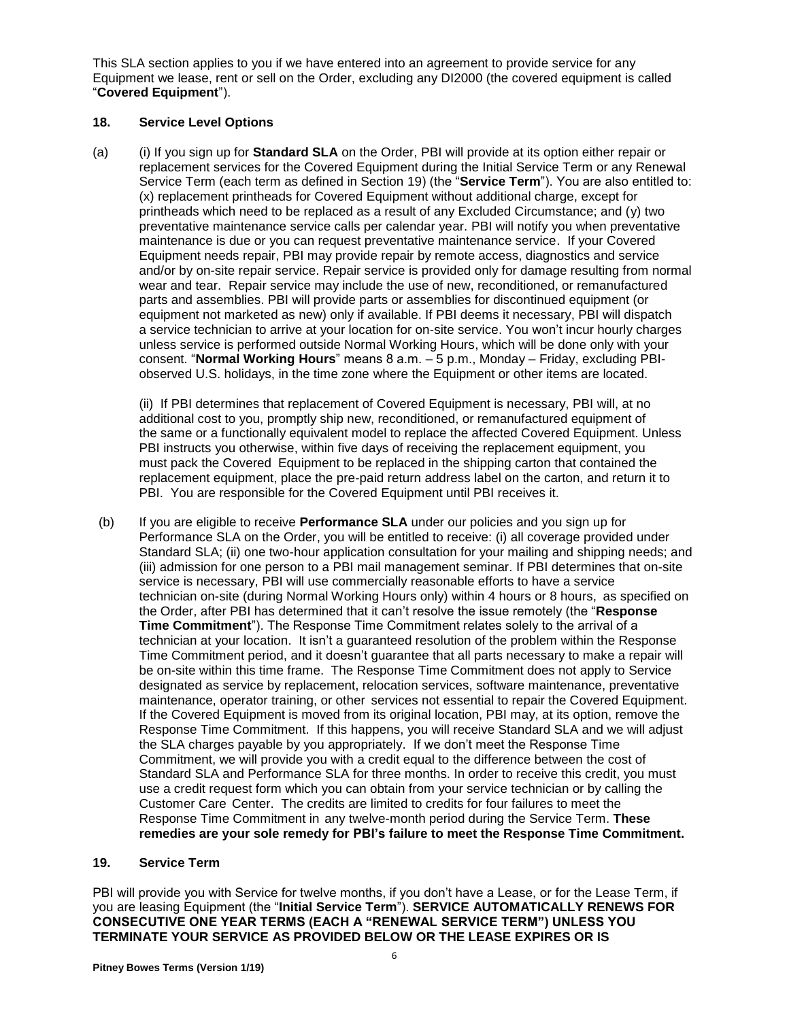This SLA section applies to you if we have entered into an agreement to provide service for any Equipment we lease, rent or sell on the Order, excluding any DI2000 (the covered equipment is called "**Covered Equipment**").

### **18. Service Level Options**

(a) (i) If you sign up for **Standard SLA** on the Order, PBI will provide at its option either repair or replacement services for the Covered Equipment during the Initial Service Term or any Renewal Service Term (each term as defined in Section 19) (the "**Service Term**"). You are also entitled to: (x) replacement printheads for Covered Equipment without additional charge, except for printheads which need to be replaced as a result of any Excluded Circumstance; and (y) two preventative maintenance service calls per calendar year. PBI will notify you when preventative maintenance is due or you can request preventative maintenance service. If your Covered Equipment needs repair, PBI may provide repair by remote access, diagnostics and service and/or by on-site repair service. Repair service is provided only for damage resulting from normal wear and tear. Repair service may include the use of new, reconditioned, or remanufactured parts and assemblies. PBI will provide parts or assemblies for discontinued equipment (or equipment not marketed as new) only if available. If PBI deems it necessary, PBI will dispatch a service technician to arrive at your location for on-site service. You won't incur hourly charges unless service is performed outside Normal Working Hours, which will be done only with your consent. "**Normal Working Hours**" means 8 a.m. – 5 p.m., Monday – Friday, excluding PBIobserved U.S. holidays, in the time zone where the Equipment or other items are located.

(ii) If PBI determines that replacement of Covered Equipment is necessary, PBI will, at no additional cost to you, promptly ship new, reconditioned, or remanufactured equipment of the same or a functionally equivalent model to replace the affected Covered Equipment. Unless PBI instructs you otherwise, within five days of receiving the replacement equipment, you must pack the Covered Equipment to be replaced in the shipping carton that contained the replacement equipment, place the pre-paid return address label on the carton, and return it to PBI. You are responsible for the Covered Equipment until PBI receives it.

(b) If you are eligible to receive **Performance SLA** under our policies and you sign up for Performance SLA on the Order, you will be entitled to receive: (i) all coverage provided under Standard SLA; (ii) one two-hour application consultation for your mailing and shipping needs; and (iii) admission for one person to a PBI mail management seminar. If PBI determines that on-site service is necessary, PBI will use commercially reasonable efforts to have a service technician on-site (during Normal Working Hours only) within 4 hours or 8 hours, as specified on the Order, after PBI has determined that it can't resolve the issue remotely (the "**Response Time Commitment**"). The Response Time Commitment relates solely to the arrival of a technician at your location. It isn't a guaranteed resolution of the problem within the Response Time Commitment period, and it doesn't guarantee that all parts necessary to make a repair will be on-site within this time frame. The Response Time Commitment does not apply to Service designated as service by replacement, relocation services, software maintenance, preventative maintenance, operator training, or other services not essential to repair the Covered Equipment. If the Covered Equipment is moved from its original location, PBI may, at its option, remove the Response Time Commitment. If this happens, you will receive Standard SLA and we will adjust the SLA charges payable by you appropriately. If we don't meet the Response Time Commitment, we will provide you with a credit equal to the difference between the cost of Standard SLA and Performance SLA for three months. In order to receive this credit, you must use a credit request form which you can obtain from your service technician or by calling the Customer Care Center. The credits are limited to credits for four failures to meet the Response Time Commitment in any twelve-month period during the Service Term. **These remedies are your sole remedy for PBI's failure to meet the Response Time Commitment.**

### **19. Service Term**

PBI will provide you with Service for twelve months, if you don't have a Lease, or for the Lease Term, if you are leasing Equipment (the "**Initial Service Term**"). **SERVICE AUTOMATICALLY RENEWS FOR CONSECUTIVE ONE YEAR TERMS (EACH A "RENEWAL SERVICE TERM") UNLESS YOU TERMINATE YOUR SERVICE AS PROVIDED BELOW OR THE LEASE EXPIRES OR IS**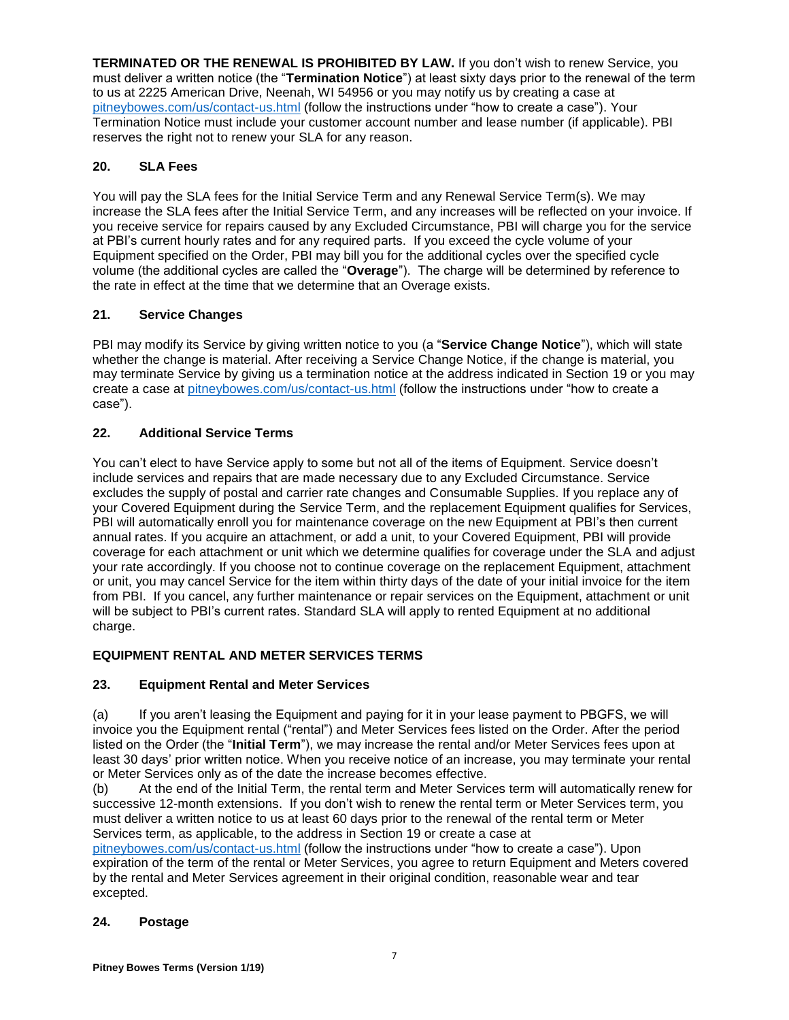**TERMINATED OR THE RENEWAL IS PROHIBITED BY LAW.** If you don't wish to renew Service, you must deliver a written notice (the "**Termination Notice**") at least sixty days prior to the renewal of the term to us at 2225 American Drive, Neenah, WI 54956 or you may notify us by creating a case at [pitneybowes.com/us/contact-us.html](http://www.pitneybowes.com/us/contact-us.html) (follow the instructions under "how to create a case"). Your Termination Notice must include your customer account number and lease number (if applicable). PBI reserves the right not to renew your SLA for any reason.

# **20. SLA Fees**

You will pay the SLA fees for the Initial Service Term and any Renewal Service Term(s). We may increase the SLA fees after the Initial Service Term, and any increases will be reflected on your invoice. If you receive service for repairs caused by any Excluded Circumstance, PBI will charge you for the service at PBI's current hourly rates and for any required parts. If you exceed the cycle volume of your Equipment specified on the Order, PBI may bill you for the additional cycles over the specified cycle volume (the additional cycles are called the "**Overage**"). The charge will be determined by reference to the rate in effect at the time that we determine that an Overage exists.

# **21. Service Changes**

PBI may modify its Service by giving written notice to you (a "**Service Change Notice**"), which will state whether the change is material. After receiving a Service Change Notice, if the change is material, you may terminate Service by giving us a termination notice at the address indicated in Section 19 or you may create a case at [pitneybowes.com/us/contact-us.html](http://www.pitneybowes.com/us/contact-us.html) (follow the instructions under "how to create a case").

# **22. Additional Service Terms**

You can't elect to have Service apply to some but not all of the items of Equipment. Service doesn't include services and repairs that are made necessary due to any Excluded Circumstance. Service excludes the supply of postal and carrier rate changes and Consumable Supplies. If you replace any of your Covered Equipment during the Service Term, and the replacement Equipment qualifies for Services, PBI will automatically enroll you for maintenance coverage on the new Equipment at PBI's then current annual rates. If you acquire an attachment, or add a unit, to your Covered Equipment, PBI will provide coverage for each attachment or unit which we determine qualifies for coverage under the SLA and adjust your rate accordingly. If you choose not to continue coverage on the replacement Equipment, attachment or unit, you may cancel Service for the item within thirty days of the date of your initial invoice for the item from PBI. If you cancel, any further maintenance or repair services on the Equipment, attachment or unit will be subject to PBI's current rates. Standard SLA will apply to rented Equipment at no additional charge.

# **EQUIPMENT RENTAL AND METER SERVICES TERMS**

## **23. Equipment Rental and Meter Services**

(a) If you aren't leasing the Equipment and paying for it in your lease payment to PBGFS, we will invoice you the Equipment rental ("rental") and Meter Services fees listed on the Order. After the period listed on the Order (the "**Initial Term**"), we may increase the rental and/or Meter Services fees upon at least 30 days' prior written notice. When you receive notice of an increase, you may terminate your rental or Meter Services only as of the date the increase becomes effective.

(b) At the end of the Initial Term, the rental term and Meter Services term will automatically renew for successive 12-month extensions. If you don't wish to renew the rental term or Meter Services term, you must deliver a written notice to us at least 60 days prior to the renewal of the rental term or Meter Services term, as applicable, to the address in Section 19 or create a case at

[pitneybowes.com/us/contact-us.html](http://www.pitneybowes.com/us/contact-us.html) (follow the instructions under "how to create a case"). Upon expiration of the term of the rental or Meter Services, you agree to return Equipment and Meters covered by the rental and Meter Services agreement in their original condition, reasonable wear and tear excepted.

## **24. Postage**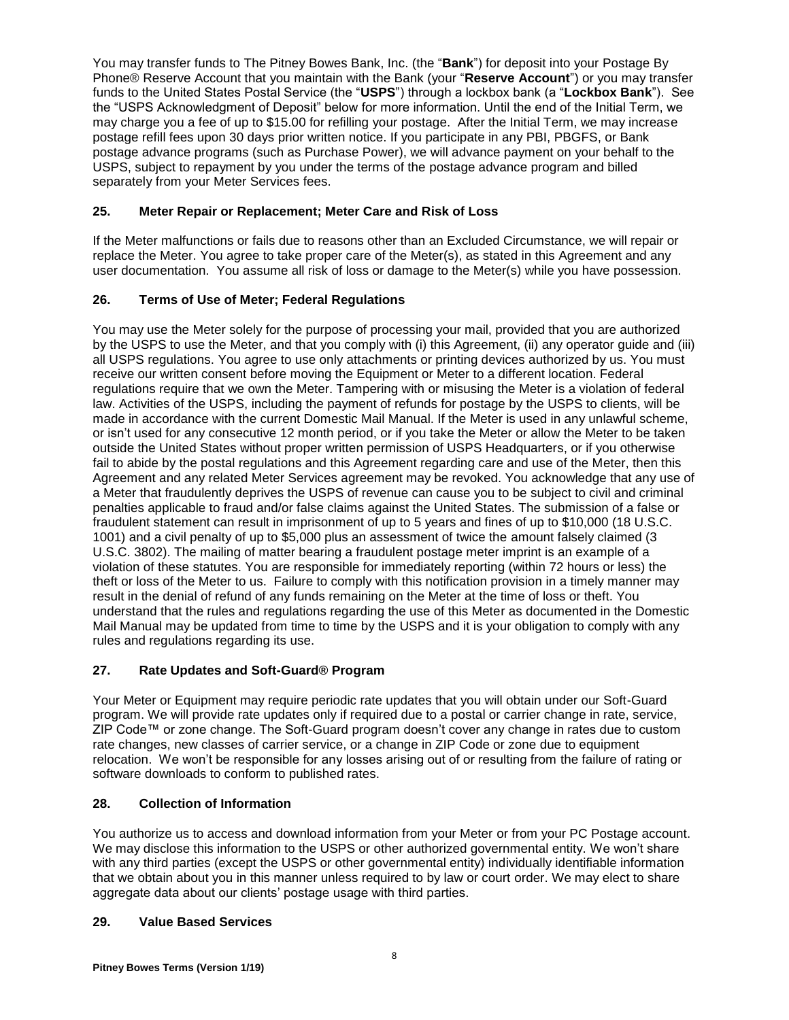You may transfer funds to The Pitney Bowes Bank, Inc. (the "**Bank**") for deposit into your Postage By Phone® Reserve Account that you maintain with the Bank (your "**Reserve Account**") or you may transfer funds to the United States Postal Service (the "**USPS**") through a lockbox bank (a "**Lockbox Bank**"). See the "USPS Acknowledgment of Deposit" below for more information. Until the end of the Initial Term, we may charge you a fee of up to \$15.00 for refilling your postage. After the Initial Term, we may increase postage refill fees upon 30 days prior written notice. If you participate in any PBI, PBGFS, or Bank postage advance programs (such as Purchase Power), we will advance payment on your behalf to the USPS, subject to repayment by you under the terms of the postage advance program and billed separately from your Meter Services fees.

# **25. Meter Repair or Replacement; Meter Care and Risk of Loss**

If the Meter malfunctions or fails due to reasons other than an Excluded Circumstance, we will repair or replace the Meter. You agree to take proper care of the Meter(s), as stated in this Agreement and any user documentation. You assume all risk of loss or damage to the Meter(s) while you have possession.

# **26. Terms of Use of Meter; Federal Regulations**

You may use the Meter solely for the purpose of processing your mail, provided that you are authorized by the USPS to use the Meter, and that you comply with (i) this Agreement, (ii) any operator guide and (iii) all USPS regulations. You agree to use only attachments or printing devices authorized by us. You must receive our written consent before moving the Equipment or Meter to a different location. Federal regulations require that we own the Meter. Tampering with or misusing the Meter is a violation of federal law. Activities of the USPS, including the payment of refunds for postage by the USPS to clients, will be made in accordance with the current Domestic Mail Manual. If the Meter is used in any unlawful scheme, or isn't used for any consecutive 12 month period, or if you take the Meter or allow the Meter to be taken outside the United States without proper written permission of USPS Headquarters, or if you otherwise fail to abide by the postal regulations and this Agreement regarding care and use of the Meter, then this Agreement and any related Meter Services agreement may be revoked. You acknowledge that any use of a Meter that fraudulently deprives the USPS of revenue can cause you to be subject to civil and criminal penalties applicable to fraud and/or false claims against the United States. The submission of a false or fraudulent statement can result in imprisonment of up to 5 years and fines of up to \$10,000 (18 U.S.C. 1001) and a civil penalty of up to \$5,000 plus an assessment of twice the amount falsely claimed (3 U.S.C. 3802). The mailing of matter bearing a fraudulent postage meter imprint is an example of a violation of these statutes. You are responsible for immediately reporting (within 72 hours or less) the theft or loss of the Meter to us. Failure to comply with this notification provision in a timely manner may result in the denial of refund of any funds remaining on the Meter at the time of loss or theft. You understand that the rules and regulations regarding the use of this Meter as documented in the Domestic Mail Manual may be updated from time to time by the USPS and it is your obligation to comply with any rules and regulations regarding its use.

## **27. Rate Updates and Soft-Guard® Program**

Your Meter or Equipment may require periodic rate updates that you will obtain under our Soft-Guard program. We will provide rate updates only if required due to a postal or carrier change in rate, service, ZIP Code™ or zone change. The Soft-Guard program doesn't cover any change in rates due to custom rate changes, new classes of carrier service, or a change in ZIP Code or zone due to equipment relocation. We won't be responsible for any losses arising out of or resulting from the failure of rating or software downloads to conform to published rates.

## **28. Collection of Information**

You authorize us to access and download information from your Meter or from your PC Postage account. We may disclose this information to the USPS or other authorized governmental entity. We won't share with any third parties (except the USPS or other governmental entity) individually identifiable information that we obtain about you in this manner unless required to by law or court order. We may elect to share aggregate data about our clients' postage usage with third parties.

## **29. Value Based Services**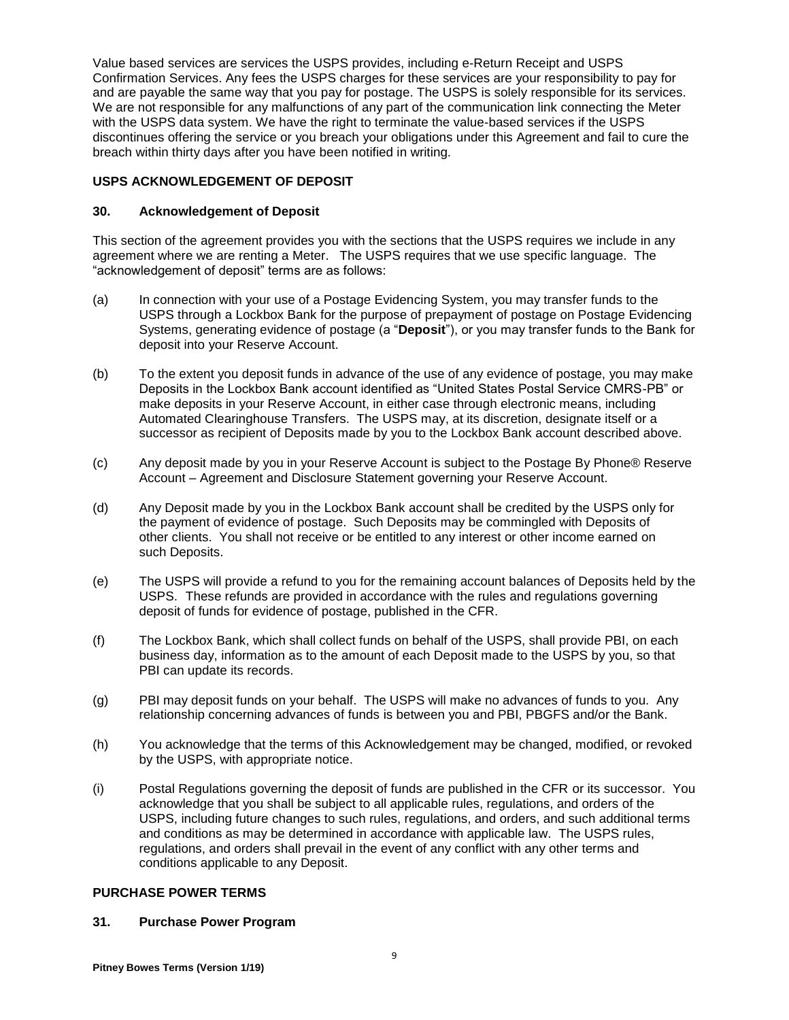Value based services are services the USPS provides, including e-Return Receipt and USPS Confirmation Services. Any fees the USPS charges for these services are your responsibility to pay for and are payable the same way that you pay for postage. The USPS is solely responsible for its services. We are not responsible for any malfunctions of any part of the communication link connecting the Meter with the USPS data system. We have the right to terminate the value-based services if the USPS discontinues offering the service or you breach your obligations under this Agreement and fail to cure the breach within thirty days after you have been notified in writing.

### **USPS ACKNOWLEDGEMENT OF DEPOSIT**

### **30. Acknowledgement of Deposit**

This section of the agreement provides you with the sections that the USPS requires we include in any agreement where we are renting a Meter. The USPS requires that we use specific language. The "acknowledgement of deposit" terms are as follows:

- (a) In connection with your use of a Postage Evidencing System, you may transfer funds to the USPS through a Lockbox Bank for the purpose of prepayment of postage on Postage Evidencing Systems, generating evidence of postage (a "**Deposit**"), or you may transfer funds to the Bank for deposit into your Reserve Account.
- (b) To the extent you deposit funds in advance of the use of any evidence of postage, you may make Deposits in the Lockbox Bank account identified as "United States Postal Service CMRS-PB" or make deposits in your Reserve Account, in either case through electronic means, including Automated Clearinghouse Transfers. The USPS may, at its discretion, designate itself or a successor as recipient of Deposits made by you to the Lockbox Bank account described above.
- (c) Any deposit made by you in your Reserve Account is subject to the Postage By Phone® Reserve Account – Agreement and Disclosure Statement governing your Reserve Account.
- (d) Any Deposit made by you in the Lockbox Bank account shall be credited by the USPS only for the payment of evidence of postage. Such Deposits may be commingled with Deposits of other clients. You shall not receive or be entitled to any interest or other income earned on such Deposits.
- (e) The USPS will provide a refund to you for the remaining account balances of Deposits held by the USPS. These refunds are provided in accordance with the rules and regulations governing deposit of funds for evidence of postage, published in the CFR.
- (f) The Lockbox Bank, which shall collect funds on behalf of the USPS, shall provide PBI, on each business day, information as to the amount of each Deposit made to the USPS by you, so that PBI can update its records.
- (g) PBI may deposit funds on your behalf. The USPS will make no advances of funds to you. Any relationship concerning advances of funds is between you and PBI, PBGFS and/or the Bank.
- (h) You acknowledge that the terms of this Acknowledgement may be changed, modified, or revoked by the USPS, with appropriate notice.
- (i) Postal Regulations governing the deposit of funds are published in the CFR or its successor. You acknowledge that you shall be subject to all applicable rules, regulations, and orders of the USPS, including future changes to such rules, regulations, and orders, and such additional terms and conditions as may be determined in accordance with applicable law. The USPS rules, regulations, and orders shall prevail in the event of any conflict with any other terms and conditions applicable to any Deposit.

# **PURCHASE POWER TERMS**

### **31. Purchase Power Program**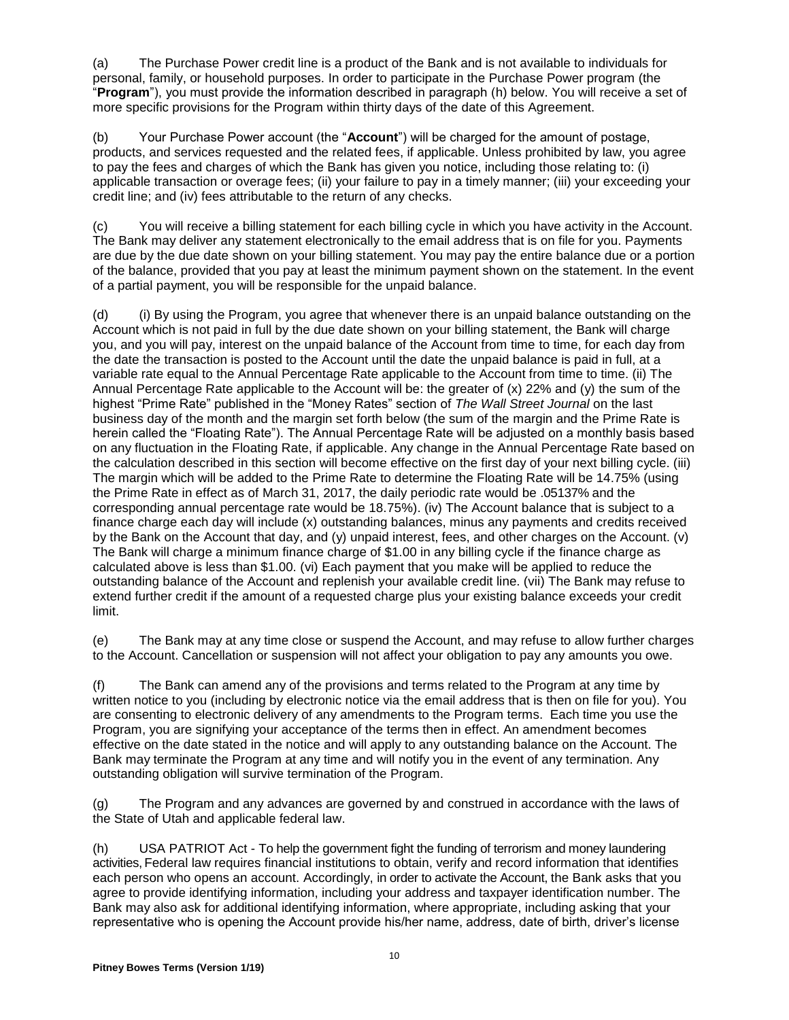(a) The Purchase Power credit line is a product of the Bank and is not available to individuals for personal, family, or household purposes. In order to participate in the Purchase Power program (the "**Program**"), you must provide the information described in paragraph (h) below. You will receive a set of more specific provisions for the Program within thirty days of the date of this Agreement.

(b) Your Purchase Power account (the "**Account**") will be charged for the amount of postage, products, and services requested and the related fees, if applicable. Unless prohibited by law, you agree to pay the fees and charges of which the Bank has given you notice, including those relating to: (i) applicable transaction or overage fees; (ii) your failure to pay in a timely manner; (iii) your exceeding your credit line; and (iv) fees attributable to the return of any checks.

(c) You will receive a billing statement for each billing cycle in which you have activity in the Account. The Bank may deliver any statement electronically to the email address that is on file for you. Payments are due by the due date shown on your billing statement. You may pay the entire balance due or a portion of the balance, provided that you pay at least the minimum payment shown on the statement. In the event of a partial payment, you will be responsible for the unpaid balance.

(d) (i) By using the Program, you agree that whenever there is an unpaid balance outstanding on the Account which is not paid in full by the due date shown on your billing statement, the Bank will charge you, and you will pay, interest on the unpaid balance of the Account from time to time, for each day from the date the transaction is posted to the Account until the date the unpaid balance is paid in full, at a variable rate equal to the Annual Percentage Rate applicable to the Account from time to time. (ii) The Annual Percentage Rate applicable to the Account will be: the greater of (x) 22% and (y) the sum of the highest "Prime Rate" published in the "Money Rates" section of *The Wall Street Journal* on the last business day of the month and the margin set forth below (the sum of the margin and the Prime Rate is herein called the "Floating Rate"). The Annual Percentage Rate will be adjusted on a monthly basis based on any fluctuation in the Floating Rate, if applicable. Any change in the Annual Percentage Rate based on the calculation described in this section will become effective on the first day of your next billing cycle. (iii) The margin which will be added to the Prime Rate to determine the Floating Rate will be 14.75% (using the Prime Rate in effect as of March 31, 2017, the daily periodic rate would be .05137% and the corresponding annual percentage rate would be 18.75%). (iv) The Account balance that is subject to a finance charge each day will include (x) outstanding balances, minus any payments and credits received by the Bank on the Account that day, and (y) unpaid interest, fees, and other charges on the Account. (v) The Bank will charge a minimum finance charge of \$1.00 in any billing cycle if the finance charge as calculated above is less than \$1.00. (vi) Each payment that you make will be applied to reduce the outstanding balance of the Account and replenish your available credit line. (vii) The Bank may refuse to extend further credit if the amount of a requested charge plus your existing balance exceeds your credit limit.

(e) The Bank may at any time close or suspend the Account, and may refuse to allow further charges to the Account. Cancellation or suspension will not affect your obligation to pay any amounts you owe.

(f) The Bank can amend any of the provisions and terms related to the Program at any time by written notice to you (including by electronic notice via the email address that is then on file for you). You are consenting to electronic delivery of any amendments to the Program terms. Each time you use the Program, you are signifying your acceptance of the terms then in effect. An amendment becomes effective on the date stated in the notice and will apply to any outstanding balance on the Account. The Bank may terminate the Program at any time and will notify you in the event of any termination. Any outstanding obligation will survive termination of the Program.

(g) The Program and any advances are governed by and construed in accordance with the laws of the State of Utah and applicable federal law.

(h) USA PATRIOT Act - To help the government fight the funding of terrorism and money laundering activities, Federal law requires financial institutions to obtain, verify and record information that identifies each person who opens an account. Accordingly, in order to activate the Account, the Bank asks that you agree to provide identifying information, including your address and taxpayer identification number. The Bank may also ask for additional identifying information, where appropriate, including asking that your representative who is opening the Account provide his/her name, address, date of birth, driver's license